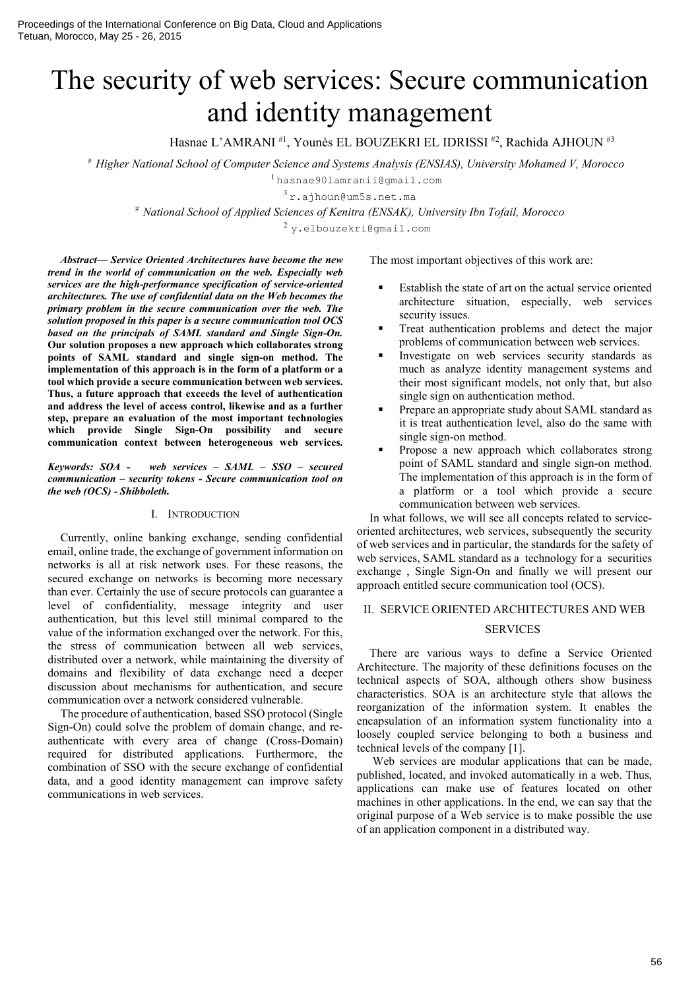# The security of web services: Secure communication and identity management

Hasnae L'AMRANI<sup>#1</sup>, Younès EL BOUZEKRI EL IDRISSI<sup>#2</sup>, Rachida AJHOUN<sup>#3</sup>

# *Higher National School of Computer Science and Systems Analysis (ENSIAS), University Mohamed V, Morocco* 

<sup>1</sup>hasnae90lamranii@gmail.com

<sup>3</sup> r.ajhoun@um5s.net.ma

# *National School of Applied Sciences of Kenitra (ENSAK), University Ibn Tofail, Morocco*

<sup>2</sup> y.elbouzekri@gmail.com

*Abstract— Service Oriented Architectures have become the new trend in the world of communication on the web. Especially web services are the high-performance specification of service-oriented architectures. The use of confidential data on the Web becomes the primary problem in the secure communication over the web. The solution proposed in this paper is a secure communication tool OCS based on the principals of SAML standard and Single Sign-On.* Our solution proposes a new approach which collaborates strong points of SAML standard and single sign-on method. The implementation of this approach is in the form of a platform or a tool which provide a secure communication between web services. Thus, a future approach that exceeds the level of authentication and address the level of access control, likewise and as a further step, prepare an evaluation of the most important technologies which provide Single Sign-On possibility and secure communication context between heterogeneous web services.

*Keywords: SOA - web services – SAML – SSO – secured communication – security tokens - Secure communication tool on the web (OCS) - Shibboleth.*

#### I. INTRODUCTION

Currently, online banking exchange, sending confidential email, online trade, the exchange of government information on networks is all at risk network uses. For these reasons, the secured exchange on networks is becoming more necessary than ever. Certainly the use of secure protocols can guarantee a level of confidentiality, message integrity and user authentication, but this level still minimal compared to the value of the information exchanged over the network. For this, the stress of communication between all web services, distributed over a network, while maintaining the diversity of domains and flexibility of data exchange need a deeper discussion about mechanisms for authentication, and secure communication over a network considered vulnerable.

The procedure of authentication, based SSO protocol (Single Sign-On) could solve the problem of domain change, and reauthenticate with every area of change (Cross-Domain) required for distributed applications. Furthermore, the combination of SSO with the secure exchange of confidential data, and a good identity management can improve safety communications in web services.

The most important objectives of this work are:

- Establish the state of art on the actual service oriented architecture situation, especially, web services security issues.
- Treat authentication problems and detect the major problems of communication between web services.
- Investigate on web services security standards as much as analyze identity management systems and their most significant models, not only that, but also single sign on authentication method.
- Prepare an appropriate study about SAML standard as it is treat authentication level, also do the same with single sign-on method.
- Propose a new approach which collaborates strong point of SAML standard and single sign-on method. The implementation of this approach is in the form of a platform or a tool which provide a secure communication between web services.

In what follows, we will see all concepts related to serviceoriented architectures, web services, subsequently the security of web services and in particular, the standards for the safety of web services, SAML standard as a technology for a securities exchange , Single Sign-On and finally we will present our approach entitled secure communication tool (OCS).

# II. SERVICE ORIENTED ARCHITECTURES AND WEB

#### **SERVICES**

There are various ways to define a Service Oriented Architecture. The majority of these definitions focuses on the technical aspects of SOA, although others show business characteristics. SOA is an architecture style that allows the reorganization of the information system. It enables the encapsulation of an information system functionality into a loosely coupled service belonging to both a business and technical levels of the company [1].

Web services are modular applications that can be made, published, located, and invoked automatically in a web. Thus, applications can make use of features located on other machines in other applications. In the end, we can say that the original purpose of a Web service is to make possible the use of an application component in a distributed way.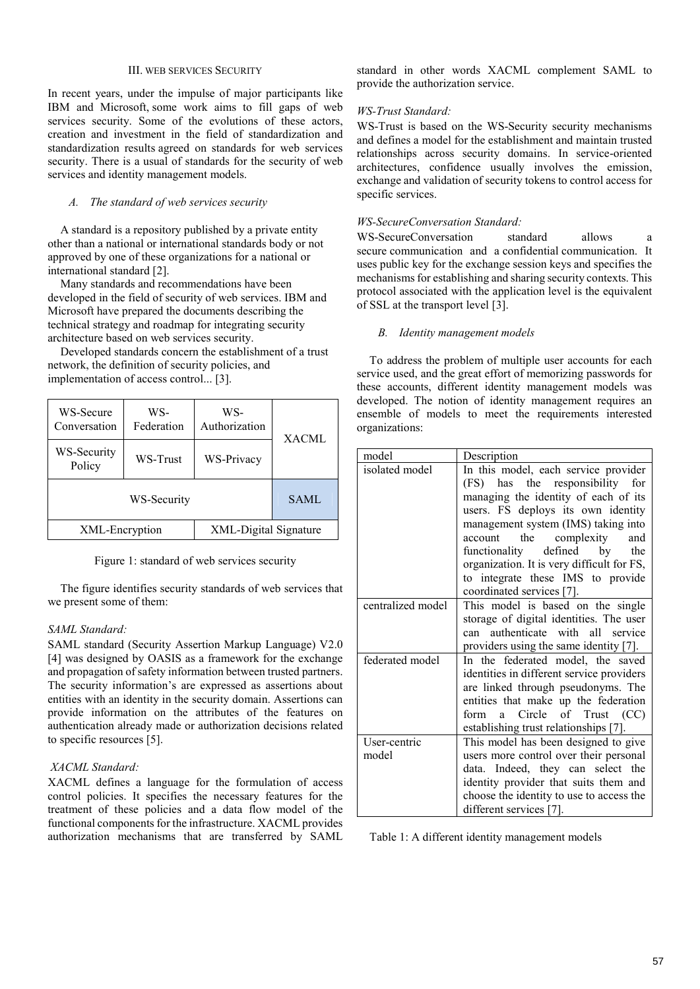## III. WEB SERVICES SECURITY

In recent years, under the impulse of major participants like IBM and Microsoft, some work aims to fill gaps of web services security. Some of the evolutions of these actors, creation and investment in the field of standardization and standardization results agreed on standards for web services security. There is a usual of standards for the security of web services and identity management models.

# *A. The standard of web services security*

A standard is a repository published by a private entity other than a national or international standards body or not approved by one of these organizations for a national or international standard [2].

Many standards and recommendations have been developed in the field of security of web services. IBM and Microsoft have prepared the documents describing the technical strategy and roadmap for integrating security architecture based on web services security.

Developed standards concern the establishment of a trust network, the definition of security policies, and implementation of access control... [3].

| WS-Secure<br>Conversation | WS-<br>Federation | WS-<br>Authorization  | XACML |  |
|---------------------------|-------------------|-----------------------|-------|--|
| WS-Security<br>Policy     | WS-Trust          | WS-Privacy            |       |  |
| WS-Security               |                   |                       | SAML  |  |
| XML-Encryption            |                   | XML-Digital Signature |       |  |

Figure 1: standard of web services security

The figure identifies security standards of web services that we present some of them:

# *SAML Standard:*

SAML standard (Security Assertion Markup Language) V2.0 [4] was designed by OASIS as a framework for the exchange and propagation of safety information between trusted partners. The security information's are expressed as assertions about entities with an identity in the security domain. Assertions can provide information on the attributes of the features on authentication already made or authorization decisions related to specific resources [5].

# *XACML Standard:*

XACML defines a language for the formulation of access control policies. It specifies the necessary features for the treatment of these policies and a data flow model of the functional components for the infrastructure. XACML provides authorization mechanisms that are transferred by SAML

standard in other words XACML complement SAML to provide the authorization service.

# *WS-Trust Standard:*

WS-Trust is based on the WS-Security security mechanisms and defines a model for the establishment and maintain trusted relationships across security domains. In service-oriented architectures, confidence usually involves the emission, exchange and validation of security tokens to control access for specific services.

# *WS-SecureConversation Standard:*

WS-SecureConversation standard allows a secure communication and a confidential communication. It uses public key for the exchange session keys and specifies the mechanisms for establishing and sharing security contexts. This protocol associated with the application level is the equivalent of SSL at the transport level [3].

## *B. Identity management models*

To address the problem of multiple user accounts for each service used, and the great effort of memorizing passwords for these accounts, different identity management models was developed. The notion of identity management requires an ensemble of models to meet the requirements interested organizations:

| model             | Description                                                                   |  |  |
|-------------------|-------------------------------------------------------------------------------|--|--|
| isolated model    | In this model, each service provider                                          |  |  |
|                   | (FS) has the responsibility for                                               |  |  |
|                   | managing the identity of each of its                                          |  |  |
|                   | users. FS deploys its own identity                                            |  |  |
|                   | management system (IMS) taking into                                           |  |  |
|                   | account the complexity<br>and                                                 |  |  |
|                   | functionality defined by<br>the                                               |  |  |
|                   | organization. It is very difficult for FS,                                    |  |  |
|                   | to integrate these IMS to provide                                             |  |  |
|                   | coordinated services [7].                                                     |  |  |
| centralized model | This model is based on the single                                             |  |  |
|                   | storage of digital identities. The user                                       |  |  |
|                   | can authenticate with all service                                             |  |  |
|                   | providers using the same identity [7].                                        |  |  |
| federated model   | In the federated model, the saved                                             |  |  |
|                   | identities in different service providers                                     |  |  |
|                   | are linked through pseudonyms. The                                            |  |  |
|                   | entities that make up the federation<br>form a Circle of Trust (CC)           |  |  |
|                   |                                                                               |  |  |
| User-centric      | establishing trust relationships [7].<br>This model has been designed to give |  |  |
| model             | users more control over their personal                                        |  |  |
|                   | data. Indeed, they can select the                                             |  |  |
|                   | identity provider that suits them and                                         |  |  |
|                   | choose the identity to use to access the                                      |  |  |
|                   | different services [7].                                                       |  |  |
|                   |                                                                               |  |  |

Table 1: A different identity management models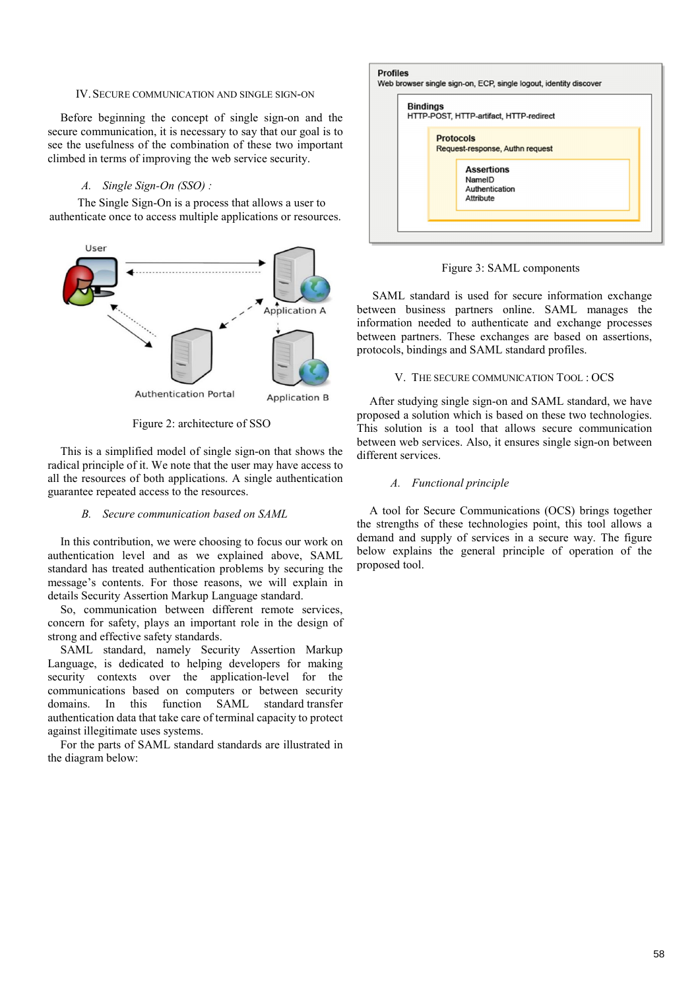#### IV. SECURE COMMUNICATION AND SINGLE SIGN-ON

Before beginning the concept of single sign-on and the secure communication, it is necessary to say that our goal is to see the usefulness of the combination of these two important climbed in terms of improving the web service security.

# *A. Single Sign-On (SSO) :*

The Single Sign-On is a process that allows a user to authenticate once to access multiple applications or resources.



Figure 2: architecture of SSO

This is a simplified model of single sign-on that shows the radical principle of it. We note that the user may have access to all the resources of both applications. A single authentication guarantee repeated access to the resources.

#### *B. Secure communication based on SAML*

In this contribution, we were choosing to focus our work on authentication level and as we explained above, SAML standard has treated authentication problems by securing the message's contents. For those reasons, we will explain in details Security Assertion Markup Language standard.

So, communication between different remote services, concern for safety, plays an important role in the design of strong and effective safety standards.

SAML standard, namely Security Assertion Markup Language, is dedicated to helping developers for making security contexts over the application-level for the communications based on computers or between security domains. In this function SAML standard transfer authentication data that take care of terminal capacity to protect against illegitimate uses systems.

For the parts of SAML standard standards are illustrated in the diagram below:

| <b>Bindings</b> |                                                     | HTTP-POST, HTTP-artifact, HTTP-redirect                    |
|-----------------|-----------------------------------------------------|------------------------------------------------------------|
|                 | <b>Protocols</b><br>Request-response, Authn request |                                                            |
|                 |                                                     | <b>Assertions</b><br>NameID<br>Authentication<br>Attribute |

Figure 3: SAML components

SAML standard is used for secure information exchange between business partners online. SAML manages the information needed to authenticate and exchange processes between partners. These exchanges are based on assertions, protocols, bindings and SAML standard profiles.

#### V. THE SECURE COMMUNICATION TOOL : OCS

After studying single sign-on and SAML standard, we have proposed a solution which is based on these two technologies. This solution is a tool that allows secure communication between web services. Also, it ensures single sign-on between different services.

## *A. Functional principle*

A tool for Secure Communications (OCS) brings together the strengths of these technologies point, this tool allows a demand and supply of services in a secure way. The figure below explains the general principle of operation of the proposed tool.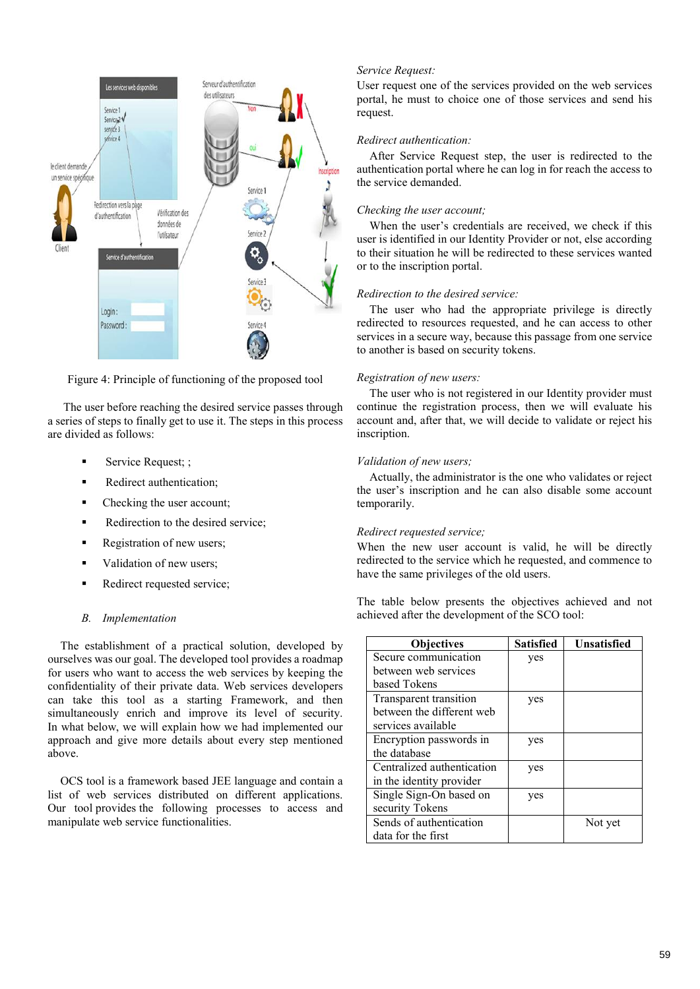

Figure 4: Principle of functioning of the proposed tool

The user before reaching the desired service passes through a series of steps to finally get to use it. The steps in this process are divided as follows:

- Service Request; ;
- Redirect authentication;
- Checking the user account;
- Redirection to the desired service;
- Registration of new users;
- Validation of new users;
- Redirect requested service;

# *B. Implementation*

The establishment of a practical solution, developed by ourselves was our goal. The developed tool provides a roadmap for users who want to access the web services by keeping the confidentiality of their private data. Web services developers can take this tool as a starting Framework, and then simultaneously enrich and improve its level of security. In what below, we will explain how we had implemented our approach and give more details about every step mentioned above.

OCS tool is a framework based JEE language and contain a list of web services distributed on different applications. Our tool provides the following processes to access and manipulate web service functionalities.

# *Service Request:*

User request one of the services provided on the web services portal, he must to choice one of those services and send his request.

# *Redirect authentication:*

After Service Request step, the user is redirected to the authentication portal where he can log in for reach the access to the service demanded.

# *Checking the user account;*

When the user's credentials are received, we check if this user is identified in our Identity Provider or not, else according to their situation he will be redirected to these services wanted or to the inscription portal.

# *Redirection to the desired service:*

The user who had the appropriate privilege is directly redirected to resources requested, and he can access to other services in a secure way, because this passage from one service to another is based on security tokens.

# *Registration of new users:*

The user who is not registered in our Identity provider must continue the registration process, then we will evaluate his account and, after that, we will decide to validate or reject his inscription.

# *Validation of new users;*

Actually, the administrator is the one who validates or reject the user's inscription and he can also disable some account temporarily.

# *Redirect requested service;*

When the new user account is valid, he will be directly redirected to the service which he requested, and commence to have the same privileges of the old users.

The table below presents the objectives achieved and not achieved after the development of the SCO tool:

| <b>Objectives</b>          | <b>Satisfied</b> | Unsatisfied |
|----------------------------|------------------|-------------|
| Secure communication       | yes              |             |
| between web services       |                  |             |
| based Tokens               |                  |             |
| Transparent transition     | yes              |             |
| between the different web  |                  |             |
| services available         |                  |             |
| Encryption passwords in    | yes              |             |
| the database               |                  |             |
| Centralized authentication | yes              |             |
| in the identity provider   |                  |             |
| Single Sign-On based on    | yes              |             |
| security Tokens            |                  |             |
| Sends of authentication    |                  | Not yet     |
| data for the first         |                  |             |